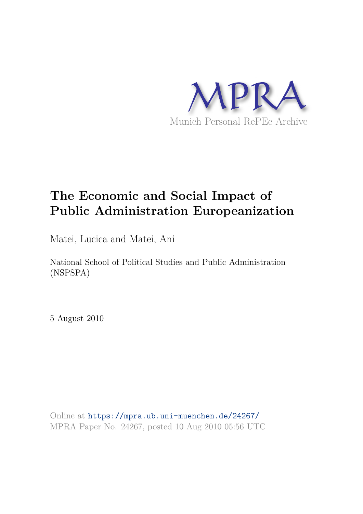

# **The Economic and Social Impact of Public Administration Europeanization**

Matei, Lucica and Matei, Ani

National School of Political Studies and Public Administration (NSPSPA)

5 August 2010

Online at https://mpra.ub.uni-muenchen.de/24267/ MPRA Paper No. 24267, posted 10 Aug 2010 05:56 UTC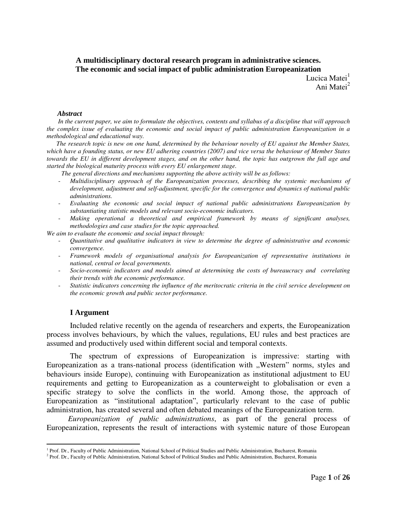## **A multidisciplinary doctoral research program in administrative sciences. The economic and social impact of public administration Europeanization**

Lucica Matei<sup>1</sup> ani Matei<sup>2</sup>

#### *Abstract*

 *In the current paper, we aim to formulate the objectives, contents and syllabus of a discipline that will approach the complex issue of evaluating the economic and social impact of public administration Europeanization in a methodological and educational way.* 

 *The research topic is new on one hand, determined by the behaviour novelty of EU against the Member States, which have a founding status, or new EU adhering countries (2007) and vice versa the behaviour of Member States towards the EU in different development stages, and on the other hand, the topic has outgrown the full age and started the biological maturity process with every EU enlargement stage.* 

 *The general directions and mechanisms supporting the above activity will be as follows:* 

- *Multidisciplinary approach of the Europeanization processes, describing the systemic mechanisms of development, adjustment and self-adjustment, specific for the convergence and dynamics of national public administrations.*
- *Evaluating the economic and social impact of national public administrations Europeanization by substantiating statistic models and relevant socio-economic indicators.*
- *Making operational a theoretical and empirical framework by means of significant analyses, methodologies and case studies for the topic approached.*

*We aim to evaluate the economic and social impact through:* 

- *Quantitative and qualitative indicators in view to determine the degree of administrative and economic convergence.*
- *Framework models of organisational analysis for Europeanization of representative institutions in national, central or local governments.*
- *Socio-economic indicators and models aimed at determining the costs of bureaucracy and correlating their trends with the economic performance.*
- *Statistic indicators concerning the influence of the meritocratic criteria in the civil service development on the economic growth and public sector performance.*

#### **I Argument**

-

Included relative recently on the agenda of researchers and experts, the Europeanization process involves behaviours, by which the values, regulations, EU rules and best practices are assumed and productively used within different social and temporal contexts.

 The spectrum of expressions of Europeanization is impressive: starting with Europeanization as a trans-national process (identification with "Western" norms, styles and behaviours inside Europe), continuing with Europeanization as institutional adjustment to EU requirements and getting to Europeanization as a counterweight to globalisation or even a specific strategy to solve the conflicts in the world. Among those, the approach of Europeanization as "institutional adaptation", particularly relevant to the case of public administration, has created several and often debated meanings of the Europeanization term.

 *Europeanization of public administrations*, as part of the general process of Europeanization, represents the result of interactions with systemic nature of those European

<sup>&</sup>lt;sup>1</sup> Prof. Dr., Faculty of Public Administration, National School of Political Studies and Public Administration, Bucharest, Romania

<sup>&</sup>lt;sup>2</sup> Prof. Dr., Faculty of Public Administration, National School of Political Studies and Public Administration, Bucharest, Romania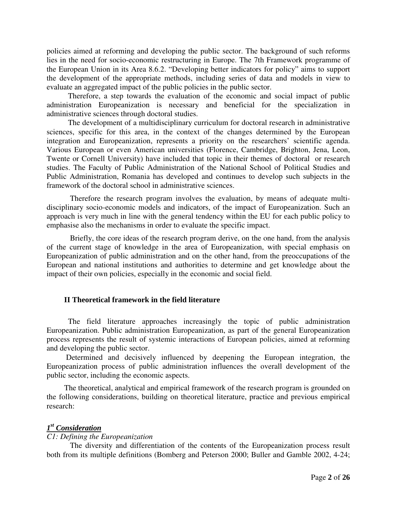policies aimed at reforming and developing the public sector. The background of such reforms lies in the need for socio-economic restructuring in Europe. The 7th Framework programme of the European Union in its Area 8.6.2. "Developing better indicators for policy" aims to support the development of the appropriate methods, including series of data and models in view to evaluate an aggregated impact of the public policies in the public sector.

 Therefore, a step towards the evaluation of the economic and social impact of public administration Europeanization is necessary and beneficial for the specialization in administrative sciences through doctoral studies.

 The development of a multidisciplinary curriculum for doctoral research in administrative sciences, specific for this area, in the context of the changes determined by the European integration and Europeanization, represents a priority on the researchers' scientific agenda. Various European or even American universities (Florence, Cambridge, Brighton, Jena, Leon, Twente or Cornell University) have included that topic in their themes of doctoral or research studies. The Faculty of Public Administration of the National School of Political Studies and Public Administration, Romania has developed and continues to develop such subjects in the framework of the doctoral school in administrative sciences.

Therefore the research program involves the evaluation, by means of adequate multidisciplinary socio-economic models and indicators, of the impact of Europeanization. Such an approach is very much in line with the general tendency within the EU for each public policy to emphasise also the mechanisms in order to evaluate the specific impact.

 Briefly, the core ideas of the research program derive, on the one hand, from the analysis of the current stage of knowledge in the area of Europeanization, with special emphasis on Europeanization of public administration and on the other hand, from the preoccupations of the European and national institutions and authorities to determine and get knowledge about the impact of their own policies, especially in the economic and social field.

## **II Theoretical framework in the field literature**

 The field literature approaches increasingly the topic of public administration Europeanization. Public administration Europeanization, as part of the general Europeanization process represents the result of systemic interactions of European policies, aimed at reforming and developing the public sector.

 Determined and decisively influenced by deepening the European integration, the Europeanization process of public administration influences the overall development of the public sector, including the economic aspects.

 The theoretical, analytical and empirical framework of the research program is grounded on the following considerations, building on theoretical literature, practice and previous empirical research:

# *1 st Consideration*

# *C1: Defining the Europeanization*

The diversity and differentiation of the contents of the Europeanization process result both from its multiple definitions (Bomberg and Peterson 2000; Buller and Gamble 2002, 4-24;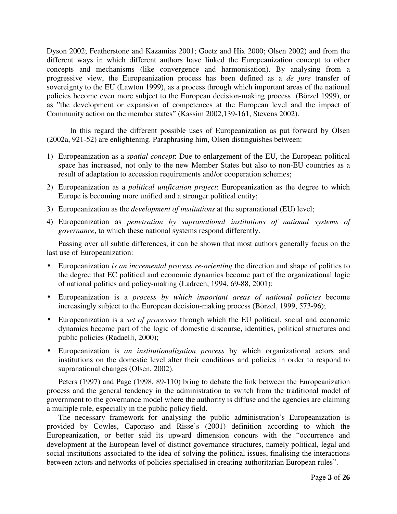Dyson 2002; Featherstone and Kazamias 2001; Goetz and Hix 2000; Olsen 2002) and from the different ways in which different authors have linked the Europeanization concept to other concepts and mechanisms (like convergence and harmonisation). By analysing from a progressive view, the Europeanization process has been defined as a *de jure* transfer of sovereignty to the EU (Lawton 1999), as a process through which important areas of the national policies become even more subject to the European decision-making process (Börzel 1999), or as "the development or expansion of competences at the European level and the impact of Community action on the member states" (Kassim 2002,139-161, Stevens 2002).

In this regard the different possible uses of Europeanization as put forward by Olsen (2002a, 921-52) are enlightening. Paraphrasing him, Olsen distinguishes between:

- 1) Europeanization as a *spatial concept*: Due to enlargement of the EU, the European political space has increased, not only to the new Member States but also to non-EU countries as a result of adaptation to accession requirements and/or cooperation schemes;
- 2) Europeanization as a *political unification project*: Europeanization as the degree to which Europe is becoming more unified and a stronger political entity;
- 3) Europeanization as the *development of institutions* at the supranational (EU) level;
- 4) Europeanization as *penetration by supranational institutions of national systems of governance*, to which these national systems respond differently.

Passing over all subtle differences, it can be shown that most authors generally focus on the last use of Europeanization:

- Europeanization *is an incremental process re-orienting* the direction and shape of politics to the degree that EC political and economic dynamics become part of the organizational logic of national politics and policy-making (Ladrech, 1994, 69-88, 2001);
- Europeanization is a *process by which important areas of national policies* become increasingly subject to the European decision-making process (Börzel, 1999, 573-96);
- Europeanization is a *set of processes* through which the EU political, social and economic dynamics become part of the logic of domestic discourse, identities, political structures and public policies (Radaelli, 2000);
- Europeanization is *an institutionalization process* by which organizational actors and institutions on the domestic level alter their conditions and policies in order to respond to supranational changes (Olsen, 2002).

Peters (1997) and Page (1998, 89-110) bring to debate the link between the Europeanization process and the general tendency in the administration to switch from the traditional model of government to the governance model where the authority is diffuse and the agencies are claiming a multiple role, especially in the public policy field.

The necessary framework for analysing the public administration's Europeanization is provided by Cowles, Caporaso and Risse's (2001) definition according to which the Europeanization, or better said its upward dimension concurs with the "occurrence and development at the European level of distinct governance structures, namely political, legal and social institutions associated to the idea of solving the political issues, finalising the interactions between actors and networks of policies specialised in creating authoritarian European rules".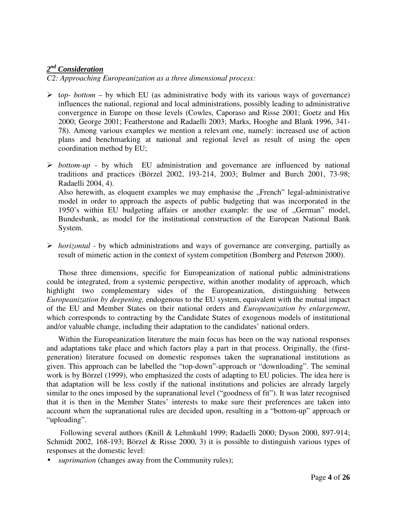# *2 nd Consideration*

*C2: Approaching Europeanization as a three dimensional process:* 

- $\triangleright$  top- bottom by which EU (as administrative body with its various ways of governance) influences the national, regional and local administrations, possibly leading to administrative convergence in Europe on those levels (Cowles, Caporaso and Risse 2001; Goetz and Hix 2000; George 2001; Featherstone and Radaelli 2003; Marks, Hooghe and Blank 1996, 341- 78). Among various examples we mention a relevant one, namely: increased use of action plans and benchmarking at national and regional level as result of using the open coordination method by EU;
- $\triangleright$  *bottom-up by which EU administration and governance are influenced by national* traditions and practices (Börzel 2002, 193-214, 2003; Bulmer and Burch 2001, 73-98; Radaelli 2004, 4). Also herewith, as eloquent examples we may emphasise the "French" legal-administrative model in order to approach the aspects of public budgeting that was incorporated in the 1950's within EU budgeting affairs or another example: the use of "German" model, Bundesbank, as model for the institutional construction of the European National Bank System.
- *horizontal* by which administrations and ways of governance are converging, partially as result of mimetic action in the context of system competition (Bomberg and Peterson 2000).

Those three dimensions, specific for Europeanization of national public administrations could be integrated, from a systemic perspective, within another modality of approach, which highlight two complementary sides of the Europeanization, distinguishing between *Europeanization by deepening,* endogenous to the EU system, equivalent with the mutual impact of the EU and Member States on their national orders and *Europeanization by enlargement*, which corresponds to contracting by the Candidate States of exogenous models of institutional and/or valuable change, including their adaptation to the candidates' national orders.

 Within the Europeanization literature the main focus has been on the way national responses and adaptations take place and which factors play a part in that process. Originally, the (firstgeneration) literature focused on domestic responses taken the supranational institutions as given. This approach can be labelled the "top-down"-approach or "downloading". The seminal work is by Börzel (1999), who emphasized the costs of adapting to EU policies. The idea here is that adaptation will be less costly if the national institutions and policies are already largely similar to the ones imposed by the supranational level ("goodness of fit"). It was later recognised that it is then in the Member States' interests to make sure their preferences are taken into account when the supranational rules are decided upon, resulting in a "bottom-up" approach or "uploading".

 Following several authors (Knill & Lehmkuhl 1999; Radaelli 2000; Dyson 2000, 897-914; Schmidt 2002, 168-193; Börzel & Risse 2000, 3) it is possible to distinguish various types of responses at the domestic level:

• *suprimation* (changes away from the Community rules);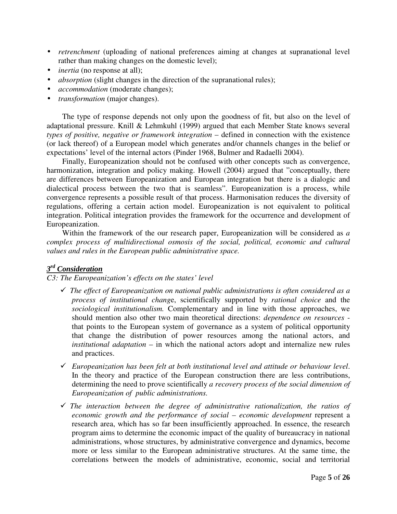- *retrenchment* (uploading of national preferences aiming at changes at supranational level rather than making changes on the domestic level);
- *inertia* (no response at all);
- *absorption* (slight changes in the direction of the supranational rules);
- *accommodation* (moderate changes);
- *transformation* (major changes).

 The type of response depends not only upon the goodness of fit, but also on the level of adaptational pressure. Knill & Lehmkuhl (1999) argued that each Member State knows several *types of positive, negative or framework integration* – defined in connection with the existence (or lack thereof) of a European model which generates and/or channels changes in the belief or expectations' level of the internal actors (Pinder 1968, Bulmer and Radaelli 2004).

 Finally, Europeanization should not be confused with other concepts such as convergence, harmonization, integration and policy making. Howell (2004) argued that "conceptually, there are differences between Europeanization and European integration but there is a dialogic and dialectical process between the two that is seamless". Europeanization is a process, while convergence represents a possible result of that process. Harmonisation reduces the diversity of regulations, offering a certain action model. Europeanization is not equivalent to political integration. Political integration provides the framework for the occurrence and development of Europeanization.

 Within the framework of the our research paper, Europeanization will be considered as *a complex process of multidirectional osmosis of the social, political, economic and cultural values and rules in the European public administrative space.*

# *3 rd Consideration*

# *C3: The Europeanization's effects on the states' level*

- *The effect of Europeanization on national public administrations is often considered as a process of institutional chang*e, scientifically supported by *rational choice* and the *sociological institutionalism.* Complementary and in line with those approaches, we should mention also other two main theoretical directions: *dependence on resources* that points to the European system of governance as a system of political opportunity that change the distribution of power resources among the national actors, and *institutional adaptation* – in which the national actors adopt and internalize new rules and practices.
- - *Europeanization has been felt at both institutional level and attitude or behaviour level*. In the theory and practice of the European construction there are less contributions, determining the need to prove scientifically *a recovery process of the social dimension of Europeanization of public administrations.*
- *The interaction between the degree of administrative rationalization, the ratios of economic growth and the performance of social – economic development* represent a research area, which has so far been insufficiently approached. In essence, the research program aims to determine the economic impact of the quality of bureaucracy in national administrations, whose structures, by administrative convergence and dynamics, become more or less similar to the European administrative structures. At the same time, the correlations between the models of administrative, economic, social and territorial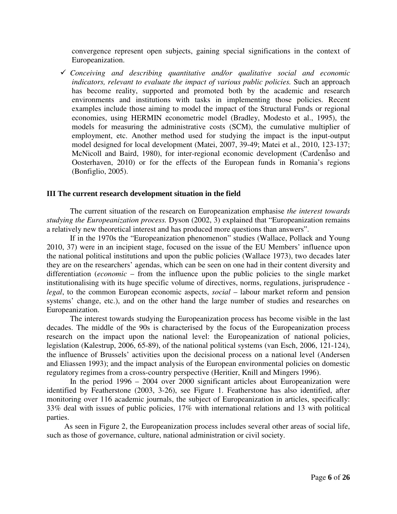convergence represent open subjects, gaining special significations in the context of Europeanization.

- *Conceiving and describing quantitative and/or qualitative social and economic indicators, relevant to evaluate the impact of various public policies.* Such an approach has become reality, supported and promoted both by the academic and research environments and institutions with tasks in implementing those policies. Recent examples include those aiming to model the impact of the Structural Funds or regional economies, using HERMIN econometric model (Bradley, Modesto et al., 1995), the models for measuring the administrative costs (SCM), the cumulative multiplier of employment, etc. Another method used for studying the impact is the input-output model designed for local development (Matei, 2007, 39-49; Matei et al., 2010, 123-137; McNicoll and Baird, 1980), for inter-regional economic development (Cardenẫso and Oosterhaven, 2010) or for the effects of the European funds in Romania's regions (Bonfiglio, 2005).

#### **III The current research development situation in the field**

 The current situation of the research on Europeanization emphasise *the interest towards studying the Europeanization process.* Dyson (2002, 3) explained that "Europeanization remains a relatively new theoretical interest and has produced more questions than answers".

 If in the 1970s the "Europeanization phenomenon" studies (Wallace, Pollack and Young 2010, 37) were in an incipient stage, focused on the issue of the EU Members' influence upon the national political institutions and upon the public policies (Wallace 1973), two decades later they are on the researchers' agendas, which can be seen on one had in their content diversity and differentiation (*economic* – from the influence upon the public policies to the single market institutionalising with its huge specific volume of directives, norms, regulations, jurisprudence *legal*, to the common European economic aspects, *social* – labour market reform and pension systems' change, etc.), and on the other hand the large number of studies and researches on Europeanization.

 The interest towards studying the Europeanization process has become visible in the last decades. The middle of the 90s is characterised by the focus of the Europeanization process research on the impact upon the national level: the Europeanization of national policies, legislation (Kalestrup, 2006, 65-89), of the national political systems (van Esch, 2006, 121-124), the influence of Brussels' activities upon the decisional process on a national level (Andersen and Eliassen 1993); and the impact analysis of the European environmental policies on domestic regulatory regimes from a cross-country perspective (Heritier, Knill and Mingers 1996).

 In the period 1996 – 2004 over 2000 significant articles about Europeanization were identified by Featherstone (2003, 3-26), see Figure 1. Featherstone has also identified, after monitoring over 116 academic journals, the subject of Europeanization in articles, specifically: 33% deal with issues of public policies, 17% with international relations and 13 with political parties.

 As seen in Figure 2, the Europeanization process includes several other areas of social life, such as those of governance, culture, national administration or civil society.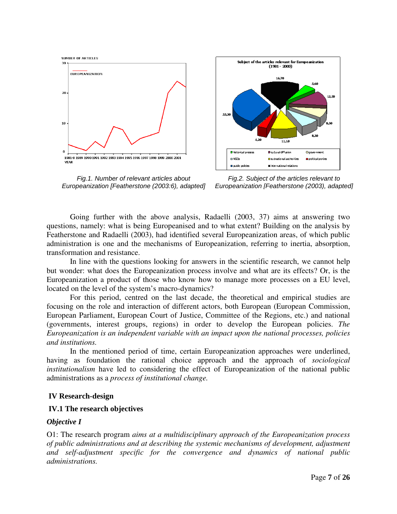

Fig.1. Number of relevant articles about Europeanization [Featherstone (2003:6), adapted]



Fig.2. Subject of the articles relevant to Europeanization [Featherstone (2003), adapted]

 Going further with the above analysis, Radaelli (2003, 37) aims at answering two questions, namely: what is being Europeanised and to what extent? Building on the analysis by Featherstone and Radaelli (2003), had identified several Europeanization areas, of which public administration is one and the mechanisms of Europeanization, referring to inertia, absorption, transformation and resistance.

 In line with the questions looking for answers in the scientific research, we cannot help but wonder: what does the Europeanization process involve and what are its effects? Or, is the Europeanization a product of those who know how to manage more processes on a EU level, located on the level of the system's macro-dynamics?

 For this period, centred on the last decade, the theoretical and empirical studies are focusing on the role and interaction of different actors, both European (European Commission, European Parliament, European Court of Justice, Committee of the Regions, etc.) and national (governments, interest groups, regions) in order to develop the European policies. *The Europeanization is an independent variable with an impact upon the national processes, policies and institutions.* 

In the mentioned period of time, certain Europeanization approaches were underlined, having as foundation the rational choice approach and the approach of *sociological institutionalism* have led to considering the effect of Europeanization of the national public administrations as a *process of institutional change.*

## **IV Research-design**

#### **IV.1 The research objectives**

#### *Objective I*

O1: The research program *aims at a multidisciplinary approach of the Europeanization process of public administrations and at describing the systemic mechanisms of development, adjustment and self-adjustment specific for the convergence and dynamics of national public administrations.*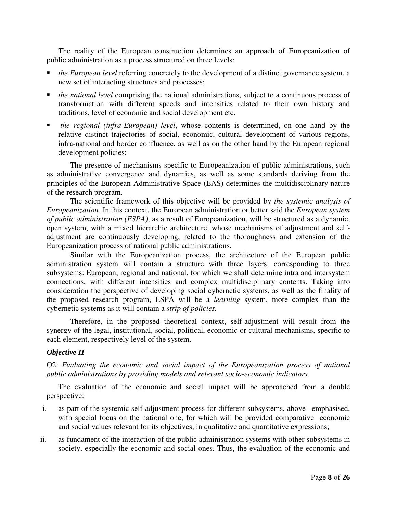The reality of the European construction determines an approach of Europeanization of public administration as a process structured on three levels:

- *the European level* referring concretely to the development of a distinct governance system, a new set of interacting structures and processes;
- *the national level* comprising the national administrations, subject to a continuous process of transformation with different speeds and intensities related to their own history and traditions, level of economic and social development etc.
- *the regional (infra-European) level*, whose contents is determined, on one hand by the relative distinct trajectories of social, economic, cultural development of various regions, infra-national and border confluence, as well as on the other hand by the European regional development policies;

The presence of mechanisms specific to Europeanization of public administrations, such as administrative convergence and dynamics, as well as some standards deriving from the principles of the European Administrative Space (EAS) determines the multidisciplinary nature of the research program.

The scientific framework of this objective will be provided by *the systemic analysis of Europeanization.* In this context, the European administration or better said the *European system of public administration (ESPA)*, as a result of Europeanization, will be structured as a dynamic, open system, with a mixed hierarchic architecture, whose mechanisms of adjustment and selfadjustment are continuously developing, related to the thoroughness and extension of the Europeanization process of national public administrations.

Similar with the Europeanization process, the architecture of the European public administration system will contain a structure with three layers, corresponding to three subsystems: European, regional and national, for which we shall determine intra and intersystem connections, with different intensities and complex multidisciplinary contents. Taking into consideration the perspective of developing social cybernetic systems, as well as the finality of the proposed research program, ESPA will be a *learning* system, more complex than the cybernetic systems as it will contain a *strip of policies.* 

Therefore, in the proposed theoretical context, self-adjustment will result from the synergy of the legal, institutional, social, political, economic or cultural mechanisms, specific to each element, respectively level of the system.

## *Objective II*

O2: *Evaluating the economic and social impact of the Europeanization process of national public administrations by providing models and relevant socio-economic indicators.* 

The evaluation of the economic and social impact will be approached from a double perspective:

- i. as part of the systemic self-adjustment process for different subsystems, above –emphasised, with special focus on the national one, for which will be provided comparative economic and social values relevant for its objectives, in qualitative and quantitative expressions;
- ii. as fundament of the interaction of the public administration systems with other subsystems in society, especially the economic and social ones. Thus, the evaluation of the economic and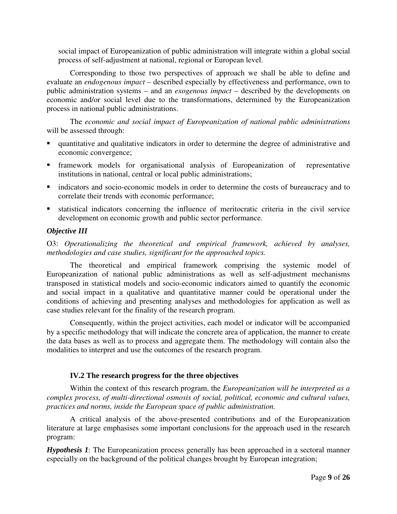social impact of Europeanization of public administration will integrate within a global social process of self-adjustment at national, regional or European level.

Corresponding to those two perspectives of approach we shall be able to define and evaluate an *endogenous impact* – described especially by effectiveness and performance, own to public administration systems – and an *exogenous impact* – described by the developments on economic and/or social level due to the transformations, determined by the Europeanization process in national public administrations.

The *economic and social impact of Europeanization of national public administrations* will be assessed through:

- quantitative and qualitative indicators in order to determine the degree of administrative and economic convergence;
- framework models for organisational analysis of Europeanization of representative institutions in national, central or local public administrations;
- indicators and socio-economic models in order to determine the costs of bureaucracy and to correlate their trends with economic performance;
- statistical indicators concerning the influence of meritocratic criteria in the civil service development on economic growth and public sector performance.

## *Objective III*

O3: *Operationalizing the theoretical and empirical framework, achieved by analyses, methodologies and case studies, significant for the approached topics.* 

The theoretical and empirical framework comprising the systemic model of Europeanization of national public administrations as well as self-adjustment mechanisms transposed in statistical models and socio-economic indicators aimed to quantify the economic and social impact in a qualitative and quantitative manner could be operational under the conditions of achieving and presenting analyses and methodologies for application as well as case studies relevant for the finality of the research program.

Consequently, within the project activities, each model or indicator will be accompanied by a specific methodology that will indicate the concrete area of application, the manner to create the data bases as well as to process and aggregate them. The methodology will contain also the modalities to interpret and use the outcomes of the research program.

## **IV.2 The research progress for the three objectives**

Within the context of this research program, the *Europeanization will be interpreted as a complex process, of multi-directional osmosis of social, political, economic and cultural values, practices and norms, inside the European space of public administration.* 

A critical analysis of the above-presented contributions and of the Europeanization literature at large emphasises some important conclusions for the approach used in the research program:

*Hypothesis 1*: The Europeanization process generally has been approached in a sectoral manner especially on the background of the political changes brought by European integration;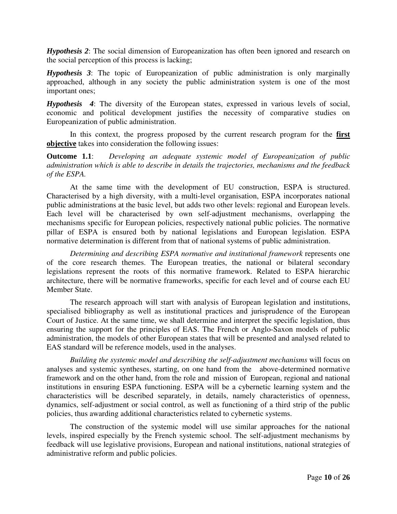*Hypothesis 2*: The social dimension of Europeanization has often been ignored and research on the social perception of this process is lacking;

*Hypothesis 3*: The topic of Europeanization of public administration is only marginally approached, although in any society the public administration system is one of the most important ones;

*Hypothesis 4*: The diversity of the European states, expressed in various levels of social, economic and political development justifies the necessity of comparative studies on Europeanization of public administration.

In this context, the progress proposed by the current research program for the **first objective** takes into consideration the following issues:

**Outcome 1.1**: *Developing an adequate systemic model of Europeanization of public administration which is able to describe in details the trajectories, mechanisms and the feedback of the ESPA.* 

At the same time with the development of EU construction, ESPA is structured. Characterised by a high diversity, with a multi-level organisation, ESPA incorporates national public administrations at the basic level, but adds two other levels: regional and European levels. Each level will be characterised by own self-adjustment mechanisms, overlapping the mechanisms specific for European policies, respectively national public policies. The normative pillar of ESPA is ensured both by national legislations and European legislation. ESPA normative determination is different from that of national systems of public administration.

*Determining and describing ESPA normative and institutional framework* represents one of the core research themes. The European treaties, the national or bilateral secondary legislations represent the roots of this normative framework. Related to ESPA hierarchic architecture, there will be normative frameworks, specific for each level and of course each EU Member State.

The research approach will start with analysis of European legislation and institutions, specialised bibliography as well as institutional practices and jurisprudence of the European Court of Justice. At the same time, we shall determine and interpret the specific legislation, thus ensuring the support for the principles of EAS. The French or Anglo-Saxon models of public administration, the models of other European states that will be presented and analysed related to EAS standard will be reference models, used in the analyses.

*Building the systemic model and describing the self-adjustment mechanisms* will focus on analyses and systemic syntheses, starting, on one hand from the above-determined normative framework and on the other hand, from the role and mission of European, regional and national institutions in ensuring ESPA functioning. ESPA will be a cybernetic learning system and the characteristics will be described separately, in details, namely characteristics of openness, dynamics, self-adjustment or social control, as well as functioning of a third strip of the public policies, thus awarding additional characteristics related to cybernetic systems.

The construction of the systemic model will use similar approaches for the national levels, inspired especially by the French systemic school. The self-adjustment mechanisms by feedback will use legislative provisions, European and national institutions, national strategies of administrative reform and public policies.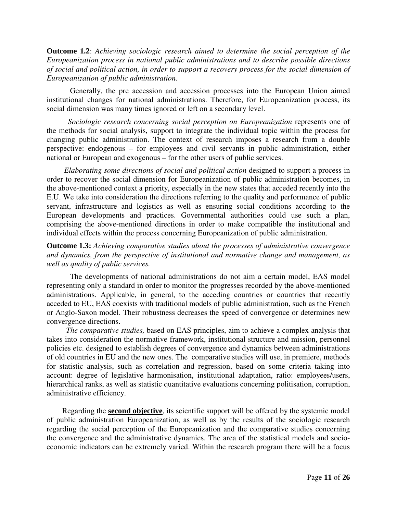**Outcome 1.2**: *Achieving sociologic research aimed to determine the social perception of the Europeanization process in national public administrations and to describe possible directions of social and political action, in order to support a recovery process for the social dimension of Europeanization of public administration.* 

Generally, the pre accession and accession processes into the European Union aimed institutional changes for national administrations. Therefore, for Europeanization process, its social dimension was many times ignored or left on a secondary level.

 *Sociologic research concerning social perception on Europeanization* represents one of the methods for social analysis, support to integrate the individual topic within the process for changing public administration. The context of research imposes a research from a double perspective: endogenous – for employees and civil servants in public administration, either national or European and exogenous – for the other users of public services.

 *Elaborating some directions of social and political action* designed to support a process in order to recover the social dimension for Europeanization of public administration becomes, in the above-mentioned context a priority, especially in the new states that acceded recently into the E.U. We take into consideration the directions referring to the quality and performance of public servant, infrastructure and logistics as well as ensuring social conditions according to the European developments and practices. Governmental authorities could use such a plan, comprising the above-mentioned directions in order to make compatible the institutional and individual effects within the process concerning Europeanization of public administration.

**Outcome 1.3:** *Achieving comparative studies about the processes of administrative convergence and dynamics, from the perspective of institutional and normative change and management, as well as quality of public services.* 

The developments of national administrations do not aim a certain model, EAS model representing only a standard in order to monitor the progresses recorded by the above-mentioned administrations. Applicable, in general, to the acceding countries or countries that recently acceded to EU, EAS coexists with traditional models of public administration, such as the French or Anglo-Saxon model. Their robustness decreases the speed of convergence or determines new convergence directions.

 *The comparative studies,* based on EAS principles, aim to achieve a complex analysis that takes into consideration the normative framework, institutional structure and mission, personnel policies etc. designed to establish degrees of convergence and dynamics between administrations of old countries in EU and the new ones. The comparative studies will use, in premiere, methods for statistic analysis, such as correlation and regression, based on some criteria taking into account: degree of legislative harmonisation, institutional adaptation, ratio: employees/users, hierarchical ranks, as well as statistic quantitative evaluations concerning politisation, corruption, administrative efficiency.

 Regarding the **second objective**, its scientific support will be offered by the systemic model of public administration Europeanization, as well as by the results of the sociologic research regarding the social perception of the Europeanization and the comparative studies concerning the convergence and the administrative dynamics. The area of the statistical models and socioeconomic indicators can be extremely varied. Within the research program there will be a focus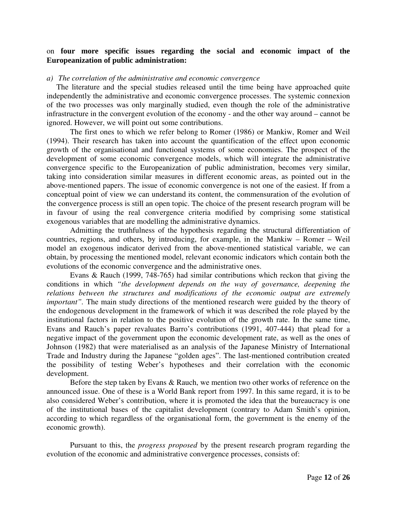## on **four more specific issues regarding the social and economic impact of the Europeanization of public administration:**

#### *a) The correlation of the administrative and economic convergence*

 The literature and the special studies released until the time being have approached quite independently the administrative and economic convergence processes. The systemic connexion of the two processes was only marginally studied, even though the role of the administrative infrastructure in the convergent evolution of the economy - and the other way around – cannot be ignored. However, we will point out some contributions.

The first ones to which we refer belong to Romer (1986) or Mankiw, Romer and Weil (1994). Their research has taken into account the quantification of the effect upon economic growth of the organisational and functional systems of some economies. The prospect of the development of some economic convergence models, which will integrate the administrative convergence specific to the Europeanization of public administration, becomes very similar, taking into consideration similar measures in different economic areas, as pointed out in the above-mentioned papers. The issue of economic convergence is not one of the easiest. If from a conceptual point of view we can understand its content, the commensuration of the evolution of the convergence process is still an open topic. The choice of the present research program will be in favour of using the real convergence criteria modified by comprising some statistical exogenous variables that are modelling the administrative dynamics.

Admitting the truthfulness of the hypothesis regarding the structural differentiation of countries, regions, and others, by introducing, for example, in the Mankiw – Romer – Weil model an exogenous indicator derived from the above-mentioned statistical variable, we can obtain, by processing the mentioned model, relevant economic indicators which contain both the evolutions of the economic convergence and the administrative ones.

Evans & Rauch (1999, 748-765) had similar contributions which reckon that giving the conditions in which *"the development depends on the way of governance, deepening the relations between the structures and modifications of the economic output are extremely important*". The main study directions of the mentioned research were guided by the theory of the endogenous development in the framework of which it was described the role played by the institutional factors in relation to the positive evolution of the growth rate. In the same time, Evans and Rauch's paper revaluates Barro's contributions (1991, 407-444) that plead for a negative impact of the government upon the economic development rate, as well as the ones of Johnson (1982) that were materialised as an analysis of the Japanese Ministry of International Trade and Industry during the Japanese "golden ages". The last-mentioned contribution created the possibility of testing Weber's hypotheses and their correlation with the economic development.

Before the step taken by Evans & Rauch, we mention two other works of reference on the announced issue. One of these is a World Bank report from 1997. In this same regard, it is to be also considered Weber's contribution, where it is promoted the idea that the bureaucracy is one of the institutional bases of the capitalist development (contrary to Adam Smith's opinion, according to which regardless of the organisational form, the government is the enemy of the economic growth).

Pursuant to this, the *progress proposed* by the present research program regarding the evolution of the economic and administrative convergence processes, consists of: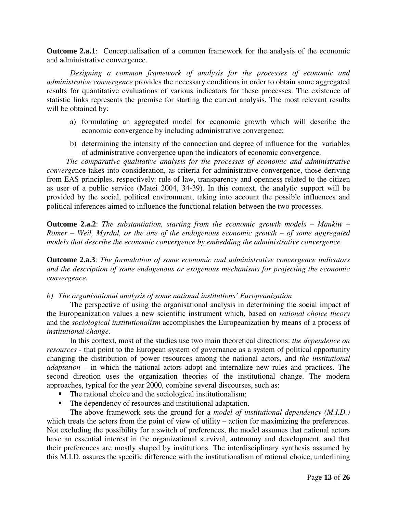**Outcome 2.a.1**: Conceptualisation of a common framework for the analysis of the economic and administrative convergence.

*Designing a common framework of analysis for the processes of economic and administrative convergence* provides the necessary conditions in order to obtain some aggregated results for quantitative evaluations of various indicators for these processes. The existence of statistic links represents the premise for starting the current analysis. The most relevant results will be obtained by:

- a) formulating an aggregated model for economic growth which will describe the economic convergence by including administrative convergence;
- b) determining the intensity of the connection and degree of influence for the variables of administrative convergence upon the indicators of economic convergence.

 *The comparative qualitative analysis for the processes of economic and administrative converge*nce takes into consideration, as criteria for administrative convergence, those deriving from EAS principles, respectively: rule of law, transparency and openness related to the citizen as user of a public service (Matei 2004, 34-39). In this context, the analytic support will be provided by the social, political environment, taking into account the possible influences and political inferences aimed to influence the functional relation between the two processes.

**Outcome 2.a.2**: *The substantiation, starting from the economic growth models – Mankiw – Romer – Weil, Myrdal, or the one of the endogenous economic growth – of some aggregated models that describe the economic convergence by embedding the administrative convergence.* 

**Outcome 2.a.3**: *The formulation of some economic and administrative convergence indicators and the description of some endogenous or exogenous mechanisms for projecting the economic convergence.* 

*b) The organisational analysis of some national institutions' Europeanization* 

The perspective of using the organisational analysis in determining the social impact of the Europeanization values a new scientific instrument which, based on *rational choice theory* and the *sociological institutionalism* accomplishes the Europeanization by means of a process of *institutional change.* 

In this context, most of the studies use two main theoretical directions: *the dependence on resources* - that point to the European system of governance as a system of political opportunity changing the distribution of power resources among the national actors, and *the institutional adaptation* – in which the national actors adopt and internalize new rules and practices. The second direction uses the organization theories of the institutional change. The modern approaches, typical for the year 2000, combine several discourses, such as:

- The rational choice and the sociological institutionalism;
- The dependency of resources and institutional adaptation.

The above framework sets the ground for a *model of institutional dependency (M.I.D.)* which treats the actors from the point of view of utility – action for maximizing the preferences. Not excluding the possibility for a switch of preferences, the model assumes that national actors have an essential interest in the organizational survival, autonomy and development, and that their preferences are mostly shaped by institutions. The interdisciplinary synthesis assumed by this M.I.D. assures the specific difference with the institutionalism of rational choice, underlining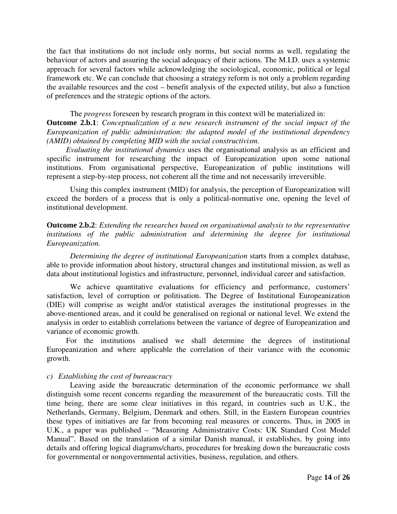the fact that institutions do not include only norms, but social norms as well, regulating the behaviour of actors and assuring the social adequacy of their actions. The M.I.D. uses a systemic approach for several factors while acknowledging the sociological, economic, political or legal framework etc. We can conclude that choosing a strategy reform is not only a problem regarding the available resources and the cost – benefit analysis of the expected utility, but also a function of preferences and the strategic options of the actors.

The *progress* foreseen by research program in this context will be materialized in:

**Outcome 2.b.1**: *Conceptualization of a new research instrument of the social impact of the Europeanization of public administration: the adapted model of the institutional dependency (AMID) obtained by completing MID with the social constructivism.* 

 *Evaluating the institutional dynamics* uses the organisational analysis as an efficient and specific instrument for researching the impact of Europeanization upon some national institutions. From organisational perspective, Europeanization of public institutions will represent a step-by-step process, not coherent all the time and not necessarily irreversible.

Using this complex instrument (MID) for analysis, the perception of Europeanization will exceed the borders of a process that is only a political-normative one, opening the level of institutional development.

**Outcome 2.b.2**: *Extending the researches based on organisational analysis to the representative institutions of the public administration and determining the degree for institutional Europeanization.* 

*Determining the degree of institutional Europeanization* starts from a complex database, able to provide information about history, structural changes and institutional mission, as well as data about institutional logistics and infrastructure, personnel, individual career and satisfaction.

We achieve quantitative evaluations for efficiency and performance, customers' satisfaction, level of corruption or politisation. The Degree of Institutional Europeanization (DIE) will comprise as weight and/or statistical averages the institutional progresses in the above-mentioned areas, and it could be generalised on regional or national level. We extend the analysis in order to establish correlations between the variance of degree of Europeanization and variance of economic growth.

 For the institutions analised we shall determine the degrees of institutional Europeanization and where applicable the correlation of their variance with the economic growth.

## *c) Establishing the cost of bureaucracy*

Leaving aside the bureaucratic determination of the economic performance we shall distinguish some recent concerns regarding the measurement of the bureaucratic costs. Till the time being, there are some clear initiatives in this regard, in countries such as U.K., the Netherlands, Germany, Belgium, Denmark and others. Still, in the Eastern European countries these types of initiatives are far from becoming real measures or concerns. Thus, in 2005 in U.K., a paper was published – "Measuring Administrative Costs: UK Standard Cost Model Manual". Based on the translation of a similar Danish manual, it establishes, by going into details and offering logical diagrams/charts, procedures for breaking down the bureaucratic costs for governmental or nongovernmental activities, business, regulation, and others.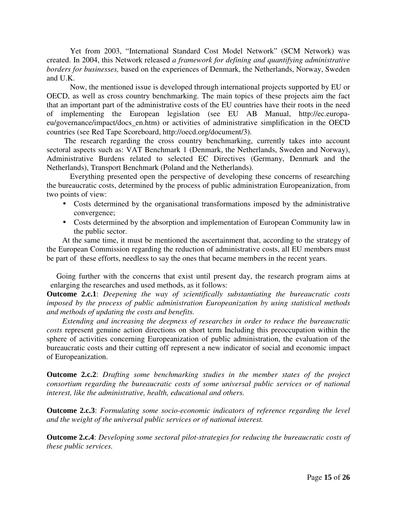Yet from 2003, "International Standard Cost Model Network" (SCM Network) was created. In 2004, this Network released *a framework for defining and quantifying administrative borders for businesses,* based on the experiences of Denmark, the Netherlands, Norway, Sweden and U.K.

Now, the mentioned issue is developed through international projects supported by EU or OECD, as well as cross country benchmarking. The main topics of these projects aim the fact that an important part of the administrative costs of the EU countries have their roots in the need of implementing the European legislation (see EU AB Manual, http://ec.europaeu/governance/impact/docs\_en.htm) or activities of administrative simplification in the OECD countries (see Red Tape Scoreboard, http://oecd.org/document/3).

 The research regarding the cross country benchmarking, currently takes into account sectoral aspects such as: VAT Benchmark 1 (Denmark, the Netherlands, Sweden and Norway), Administrative Burdens related to selected EC Directives (Germany, Denmark and the Netherlands), Transport Benchmark (Poland and the Netherlands).

Everything presented open the perspective of developing these concerns of researching the bureaucratic costs, determined by the process of public administration Europeanization, from two points of view:

- Costs determined by the organisational transformations imposed by the administrative convergence;
- Costs determined by the absorption and implementation of European Community law in the public sector.

 At the same time, it must be mentioned the ascertainment that, according to the strategy of the European Commission regarding the reduction of administrative costs, all EU members must be part of these efforts, needless to say the ones that became members in the recent years.

 Going further with the concerns that exist until present day, the research program aims at enlarging the researches and used methods, as it follows:

**Outcome 2.c.1**: *Deepening the way of scientifically substantiating the bureaucratic costs imposed by the process of public administration Europeanization by using statistical methods and methods of updating the costs and benefits.* 

 *Extending and increasing the deepness of researches in order to reduce the bureaucratic costs* represent genuine action directions on short term Including this preoccupation within the sphere of activities concerning Europeanization of public administration, the evaluation of the bureaucratic costs and their cutting off represent a new indicator of social and economic impact of Europeanization.

**Outcome 2.c.2**: *Drafting some benchmarking studies in the member states of the project consortium regarding the bureaucratic costs of some universal public services or of national interest, like the administrative, health, educational and others.* 

**Outcome 2.c.3**: *Formulating some socio-economic indicators of reference regarding the level and the weight of the universal public services or of national interest.* 

**Outcome 2.c.4**: *Developing some sectoral pilot-strategies for reducing the bureaucratic costs of these public services.*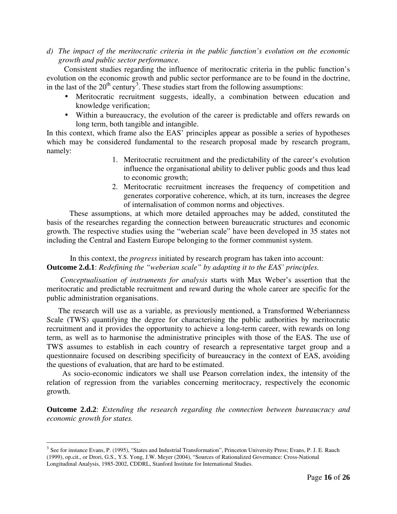*d) The impact of the meritocratic criteria in the public function's evolution on the economic growth and public sector performance.* 

Consistent studies regarding the influence of meritocratic criteria in the public function's evolution on the economic growth and public sector performance are to be found in the doctrine, in the last of the  $20<sup>th</sup>$  century<sup>3</sup>. These studies start from the following assumptions:

- Meritocratic recruitment suggests, ideally, a combination between education and knowledge verification;
- Within a bureaucracy, the evolution of the career is predictable and offers rewards on long term, both tangible and intangible.

In this context, which frame also the EAS' principles appear as possible a series of hypotheses which may be considered fundamental to the research proposal made by research program, namely:

- 1. Meritocratic recruitment and the predictability of the career's evolution influence the organisational ability to deliver public goods and thus lead to economic growth;
- 2. Meritocratic recruitment increases the frequency of competition and generates corporative coherence, which, at its turn, increases the degree of internalisation of common norms and objectives.

These assumptions, at which more detailed approaches may be added, constituted the basis of the researches regarding the connection between bureaucratic structures and economic growth. The respective studies using the "weberian scale" have been developed in 35 states not including the Central and Eastern Europe belonging to the former communist system.

 In this context, the *progress* initiated by research program has taken into account: **Outcome 2.d.1**: *Redefining the "weberian scale" by adapting it to the EAS' principles.* 

 *Conceptualisation of instruments for analysis* starts with Max Weber's assertion that the meritocratic and predictable recruitment and reward during the whole career are specific for the public administration organisations.

 The research will use as a variable, as previously mentioned, a Transformed Weberianness Scale (TWS) quantifying the degree for characterising the public authorities by meritocratic recruitment and it provides the opportunity to achieve a long-term career, with rewards on long term, as well as to harmonise the administrative principles with those of the EAS. The use of TWS assumes to establish in each country of research a representative target group and a questionnaire focused on describing specificity of bureaucracy in the context of EAS, avoiding the questions of evaluation, that are hard to be estimated.

 As socio-economic indicators we shall use Pearson correlation index, the intensity of the relation of regression from the variables concerning meritocracy, respectively the economic growth.

**Outcome 2.d.2**: *Extending the research regarding the connection between bureaucracy and economic growth for states.* 

<u>.</u>

 $3$  See for instance Evans, P. (1995), "States and Industrial Transformation", Princeton University Press; Evans, P. J. E. Rauch (1999), op.cit., or Drori, G.S., Y.S. Yong, J.W. Meyer (2004), "Sources of Rationalized Governance: Cross-National Longitudinal Analysis, 1985-2002, CDDRL, Stanford Institute for International Studies.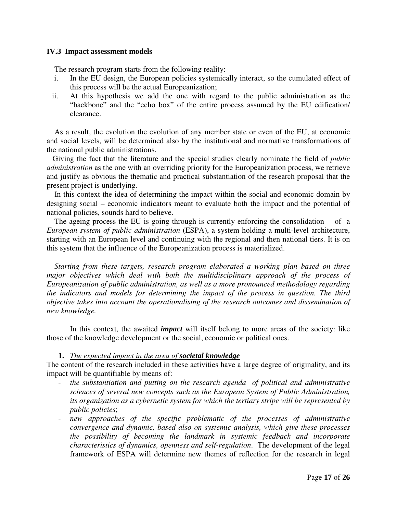#### **IV.3 Impact assessment models**

The research program starts from the following reality:

- i. In the EU design, the European policies systemically interact, so the cumulated effect of this process will be the actual Europeanization;
- ii. At this hypothesis we add the one with regard to the public administration as the "backbone" and the "echo box" of the entire process assumed by the EU edification/ clearance.

 As a result, the evolution the evolution of any member state or even of the EU, at economic and social levels, will be determined also by the institutional and normative transformations of the national public administrations.

 Giving the fact that the literature and the special studies clearly nominate the field of *public administration* as the one with an overriding priority for the Europeanization process, we retrieve and justify as obvious the thematic and practical substantiation of the research proposal that the present project is underlying.

 In this context the idea of determining the impact within the social and economic domain by designing social – economic indicators meant to evaluate both the impact and the potential of national policies, sounds hard to believe.

The ageing process the EU is going through is currently enforcing the consolidation of a *European system of public administration* (ESPA), a system holding a multi-level architecture, starting with an European level and continuing with the regional and then national tiers. It is on this system that the influence of the Europeanization process is materialized.

 *Starting from these targets, research program elaborated a working plan based on three major objectives which deal with both the multidisciplinary approach of the process of Europeanization of public administration, as well as a more pronounced methodology regarding the indicators and models for determining the impact of the process in question. The third objective takes into account the operationalising of the research outcomes and dissemination of new knowledge.* 

 In this context, the awaited *impact* will itself belong to more areas of the society: like those of the knowledge development or the social, economic or political ones.

## **1.** *The expected impact in the area of societal knowledge*

The content of the research included in these activities have a large degree of originality, and its impact will be quantifiable by means of:

- *the substantiation and putting on the research agenda of political and administrative sciences of several new concepts such as the European System of Public Administration, its organization as a cybernetic system for which the tertiary stripe will be represented by public policies*;
- new approaches of the specific problematic of the processes of administrative *convergence and dynamic, based also on systemic analysis, which give these processes the possibility of becoming the landmark in systemic feedback and incorporate characteristics of dynamics, openness and self-regulation*. The development of the legal framework of ESPA will determine new themes of reflection for the research in legal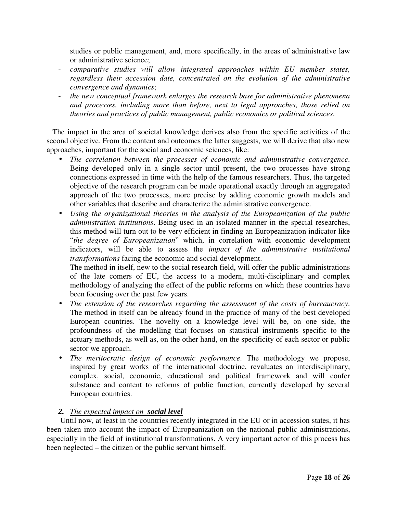studies or public management, and, more specifically, in the areas of administrative law or administrative science;

- *comparative studies will allow integrated approaches within EU member states, regardless their accession date, concentrated on the evolution of the administrative convergence and dynamics*;
- *the new conceptual framework enlarges the research base for administrative phenomena and processes, including more than before, next to legal approaches, those relied on theories and practices of public management, public economics or political sciences*.

 The impact in the area of societal knowledge derives also from the specific activities of the second objective. From the content and outcomes the latter suggests, we will derive that also new approaches, important for the social and economic sciences, like:

- *The correlation between the processes of economic and administrative convergence*. Being developed only in a single sector until present, the two processes have strong connections expressed in time with the help of the famous researchers. Thus, the targeted objective of the research program can be made operational exactly through an aggregated approach of the two processes, more precise by adding economic growth models and other variables that describe and characterize the administrative convergence.
- *Using the organizational theories in the analysis of the Europeanization of the public administration institutions*. Being used in an isolated manner in the special researches, this method will turn out to be very efficient in finding an Europeanization indicator like "*the degree of Europeanization*" which, in correlation with economic development indicators, will be able to assess the *impact of the administrative institutional transformations* facing the economic and social development.

The method in itself, new to the social research field, will offer the public administrations of the late comers of EU, the access to a modern, multi-disciplinary and complex methodology of analyzing the effect of the public reforms on which these countries have been focusing over the past few years.

- *The extension of the researches regarding the assessment of the costs of bureaucracy*. The method in itself can be already found in the practice of many of the best developed European countries. The novelty on a knowledge level will be, on one side, the profoundness of the modelling that focuses on statistical instruments specific to the actuary methods, as well as, on the other hand, on the specificity of each sector or public sector we approach.
- *The meritocratic design of economic performance*. The methodology we propose, inspired by great works of the international doctrine, revaluates an interdisciplinary, complex, social, economic, educational and political framework and will confer substance and content to reforms of public function, currently developed by several European countries.

# *2. The expected impact on social level*

 Until now, at least in the countries recently integrated in the EU or in accession states, it has been taken into account the impact of Europeanization on the national public administrations, especially in the field of institutional transformations. A very important actor of this process has been neglected – the citizen or the public servant himself.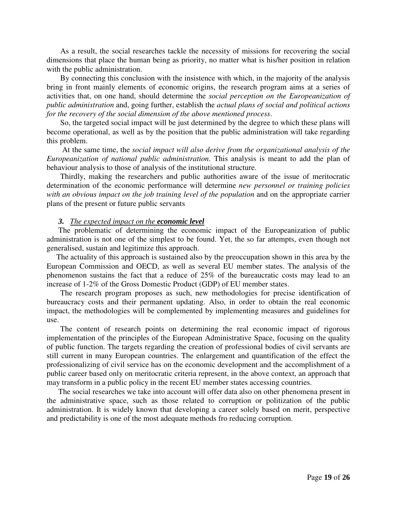As a result, the social researches tackle the necessity of missions for recovering the social dimensions that place the human being as priority, no matter what is his/her position in relation with the public administration.

 By connecting this conclusion with the insistence with which, in the majority of the analysis bring in front mainly elements of economic origins, the research program aims at a series of activities that, on one hand, should determine the *social perception on the Europeanization of public administration* and, going further, establish the *actual plans of social and political actions for the recovery of the social dimension of the above mentioned process*.

 So, the targeted social impact will be just determined by the degree to which these plans will become operational, as well as by the position that the public administration will take regarding this problem.

 At the same time, the *social impact will also derive from the organizational analysis of the Europeanization of national public administration*. This analysis is meant to add the plan of behaviour analysis to those of analysis of the institutional structure.

 Thirdly, making the researchers and public authorities aware of the issue of meritocratic determination of the economic performance will determine *new personnel or training policies*  with an obvious impact on the job training level of the population and on the appropriate carrier plans of the present or future public servants

#### *3. The expected impact on the economic level*

 The problematic of determining the economic impact of the Europeanization of public administration is not one of the simplest to be found. Yet, the so far attempts, even though not generalised, sustain and legitimize this approach.

 The actuality of this approach is sustained also by the preoccupation shown in this area by the European Commission and OECD, as well as several EU member states. The analysis of the phenomenon sustains the fact that a reduce of 25% of the bureaucratic costs may lead to an increase of 1-2% of the Gross Domestic Product (GDP) of EU member states.

 The research program proposes as such, new methodologies for precise identification of bureaucracy costs and their permanent updating. Also, in order to obtain the real economic impact, the methodologies will be complemented by implementing measures and guidelines for use.

 The content of research points on determining the real economic impact of rigorous implementation of the principles of the European Administrative Space, focusing on the quality of public function. The targets regarding the creation of professional bodies of civil servants are still current in many European countries. The enlargement and quantification of the effect the professionalizing of civil service has on the economic development and the accomplishment of a public career based only on meritocratic criteria represent, in the above context, an approach that may transform in a public policy in the recent EU member states accessing countries.

 The social researches we take into account will offer data also on other phenomena present in the administrative space, such as those related to corruption or politization of the public administration. It is widely known that developing a career solely based on merit, perspective and predictability is one of the most adequate methods fro reducing corruption.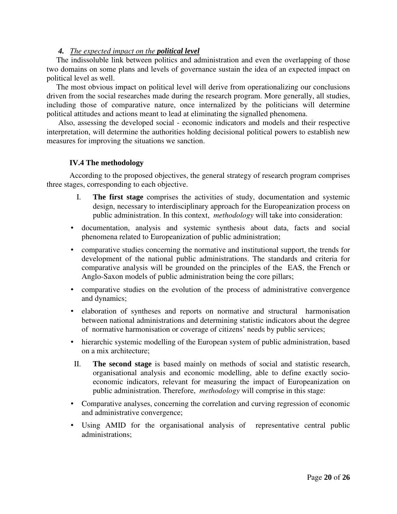## *4. The expected impact on the political level*

 The indissoluble link between politics and administration and even the overlapping of those two domains on some plans and levels of governance sustain the idea of an expected impact on political level as well.

 The most obvious impact on political level will derive from operationalizing our conclusions driven from the social researches made during the research program. More generally, all studies, including those of comparative nature, once internalized by the politicians will determine political attitudes and actions meant to lead at eliminating the signalled phenomena.

 Also, assessing the developed social - economic indicators and models and their respective interpretation, will determine the authorities holding decisional political powers to establish new measures for improving the situations we sanction.

## **IV.4 The methodology**

According to the proposed objectives, the general strategy of research program comprises three stages, corresponding to each objective.

- I. **The first stage** comprises the activities of study, documentation and systemic design, necessary to interdisciplinary approach for the Europeanization process on public administration. In this context, *methodology* will take into consideration:
- documentation, analysis and systemic synthesis about data, facts and social phenomena related to Europeanization of public administration;
- comparative studies concerning the normative and institutional support, the trends for development of the national public administrations. The standards and criteria for comparative analysis will be grounded on the principles of the EAS, the French or Anglo-Saxon models of public administration being the core pillars;
- comparative studies on the evolution of the process of administrative convergence and dynamics;
- elaboration of syntheses and reports on normative and structural harmonisation between national administrations and determining statistic indicators about the degree of normative harmonisation or coverage of citizens' needs by public services;
- hierarchic systemic modelling of the European system of public administration, based on a mix architecture;
- II. **The second stage** is based mainly on methods of social and statistic research, organisational analysis and economic modelling, able to define exactly socioeconomic indicators, relevant for measuring the impact of Europeanization on public administration. Therefore, *methodology* will comprise in this stage:
- Comparative analyses, concerning the correlation and curving regression of economic and administrative convergence;
- Using AMID for the organisational analysis of representative central public administrations;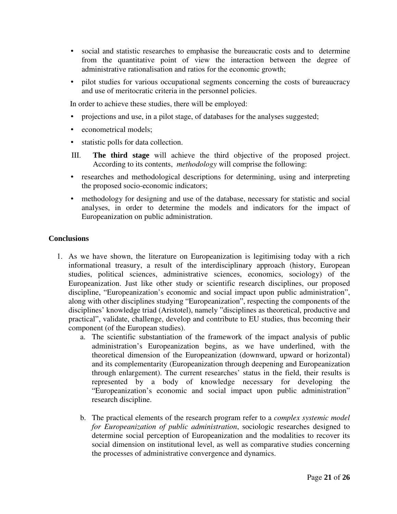- social and statistic researches to emphasise the bureaucratic costs and to determine from the quantitative point of view the interaction between the degree of administrative rationalisation and ratios for the economic growth;
- pilot studies for various occupational segments concerning the costs of bureaucracy and use of meritocratic criteria in the personnel policies.

In order to achieve these studies, there will be employed:

- projections and use, in a pilot stage, of databases for the analyses suggested;
- econometrical models;
- statistic polls for data collection.
- III. **The third stage** will achieve the third objective of the proposed project. According to its contents, *methodology* will comprise the following:
- researches and methodological descriptions for determining, using and interpreting the proposed socio-economic indicators;
- methodology for designing and use of the database, necessary for statistic and social analyses, in order to determine the models and indicators for the impact of Europeanization on public administration.

## **Conclusions**

- 1. As we have shown, the literature on Europeanization is legitimising today with a rich informational treasury, a result of the interdisciplinary approach (history, European studies, political sciences, administrative sciences, economics, sociology) of the Europeanization. Just like other study or scientific research disciplines, our proposed discipline, "Europeanization's economic and social impact upon public administration", along with other disciplines studying "Europeanization", respecting the components of the disciplines' knowledge triad (Aristotel), namely "disciplines as theoretical, productive and practical", validate, challenge, develop and contribute to EU studies, thus becoming their component (of the European studies).
	- a. The scientific substantiation of the framework of the impact analysis of public administration's Europeanization begins, as we have underlined, with the theoretical dimension of the Europeanization (downward, upward or horizontal) and its complementarity (Europeanization through deepening and Europeanization through enlargement). The current researches' status in the field, their results is represented by a body of knowledge necessary for developing the "Europeanization's economic and social impact upon public administration" research discipline.
	- b. The practical elements of the research program refer to a *complex systemic model for Europeanization of public administration*, sociologic researches designed to determine social perception of Europeanization and the modalities to recover its social dimension on institutional level, as well as comparative studies concerning the processes of administrative convergence and dynamics.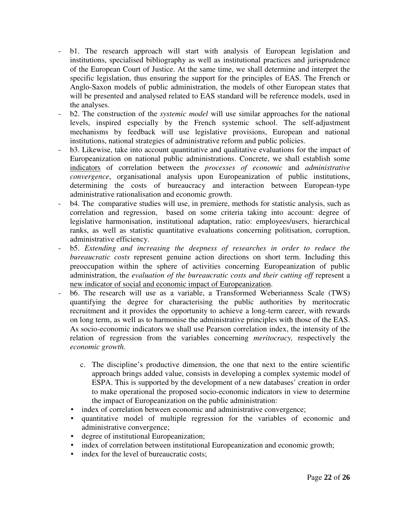- b1. The research approach will start with analysis of European legislation and institutions, specialised bibliography as well as institutional practices and jurisprudence of the European Court of Justice. At the same time, we shall determine and interpret the specific legislation, thus ensuring the support for the principles of EAS. The French or Anglo-Saxon models of public administration, the models of other European states that will be presented and analysed related to EAS standard will be reference models, used in the analyses.
- b2. The construction of the *systemic model* will use similar approaches for the national levels, inspired especially by the French systemic school. The self-adjustment mechanisms by feedback will use legislative provisions, European and national institutions, national strategies of administrative reform and public policies.
- b3. Likewise, take into account quantitative and qualitative evaluations for the impact of Europeanization on national public administrations. Concrete, we shall establish some indicators of correlation between the *processes of economic* and *administrative convergence*, organisational analysis upon Europeanization of public institutions, determining the costs of bureaucracy and interaction between European-type administrative rationalisation and economic growth.
- b4. The comparative studies will use, in premiere, methods for statistic analysis, such as correlation and regression, based on some criteria taking into account: degree of legislative harmonisation, institutional adaptation, ratio: employees/users, hierarchical ranks, as well as statistic quantitative evaluations concerning politisation, corruption, administrative efficiency.
- b5. *Extending and increasing the deepness of researches in order to reduce the bureaucratic costs* represent genuine action directions on short term. Including this preoccupation within the sphere of activities concerning Europeanization of public administration, the *evaluation of the bureaucratic costs and their cutting off* represent a new indicator of social and economic impact of Europeanization.
- b6. The research will use as a variable, a Transformed Weberianness Scale (TWS) quantifying the degree for characterising the public authorities by meritocratic recruitment and it provides the opportunity to achieve a long-term career, with rewards on long term, as well as to harmonise the administrative principles with those of the EAS. As socio-economic indicators we shall use Pearson correlation index, the intensity of the relation of regression from the variables concerning *meritocracy,* respectively the *economic growth.* 
	- c. The discipline's productive dimension, the one that next to the entire scientific approach brings added value, consists in developing a complex systemic model of ESPA. This is supported by the development of a new databases' creation in order to make operational the proposed socio-economic indicators in view to determine the impact of Europeanization on the public administration:
	- index of correlation between economic and administrative convergence;
	- quantitative model of multiple regression for the variables of economic and administrative convergence;
	- degree of institutional Europeanization;
	- index of correlation between institutional Europeanization and economic growth;
	- index for the level of bureaucratic costs: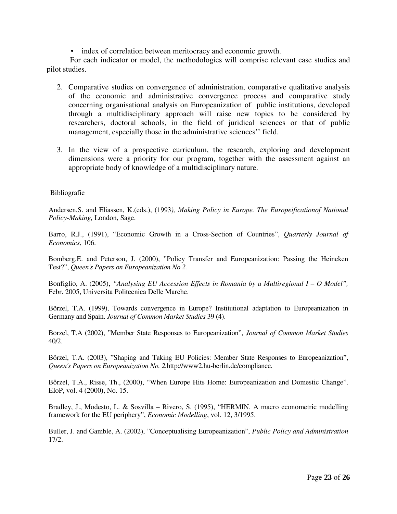• index of correlation between meritocracy and economic growth.

For each indicator or model, the methodologies will comprise relevant case studies and pilot studies.

- 2. Comparative studies on convergence of administration, comparative qualitative analysis of the economic and administrative convergence process and comparative study concerning organisational analysis on Europeanization of public institutions, developed through a multidisciplinary approach will raise new topics to be considered by researchers, doctoral schools, in the field of juridical sciences or that of public management, especially those in the administrative sciences'' field.
- 3. In the view of a prospective curriculum, the research, exploring and development dimensions were a priority for our program, together with the assessment against an appropriate body of knowledge of a multidisciplinary nature.

## Bibliografie

Andersen,S. and Eliassen, K.(eds.), (1993*), Making Policy in Europe. The Europeificationof National Policy-Making,* London, Sage.

Barro, R.J., (1991), "Economic Growth in a Cross-Section of Countries", *Quarterly Journal of Economics*, 106.

Bomberg,E. and Peterson, J. (2000), "Policy Transfer and Europeanization: Passing the Heineken Test?", *Queen's Papers on Europeanization No 2.* 

Bonfiglio, A. (2005), *"Analysing EU Accession Effects in Romania by a Multiregional I – O Model",* Febr. 2005, Universita Politecnica Delle Marche.

Börzel, T.A. (1999), Towards convergence in Europe? Institutional adaptation to Europeanization in Germany and Spain. *Journal of Common Market Studies* 39 (4).

Börzel, T.A (2002), "Member State Responses to Europeanization", *Journal of Common Market Studies* 40/2.

Börzel, T.A. (2003), "Shaping and Taking EU Policies: Member State Responses to Europeanization", *Queen's Papers on Europeanization No. 2.*http://www2.hu-berlin.de/compliance.

Bőrzel, T.A., Risse, Th., (2000), "When Europe Hits Home: Europeanization and Domestic Change". EIoP, vol. 4 (2000), No. 15.

Bradley, J., Modesto, L. & Sosvilla – Rivero, S. (1995), "HERMIN. A macro econometric modelling framework for the EU periphery", *Economic Modelling*, vol. 12, 3/1995.

Buller, J. and Gamble, A. (2002), "Conceptualising Europeanization", *Public Policy and Administration*  17/2.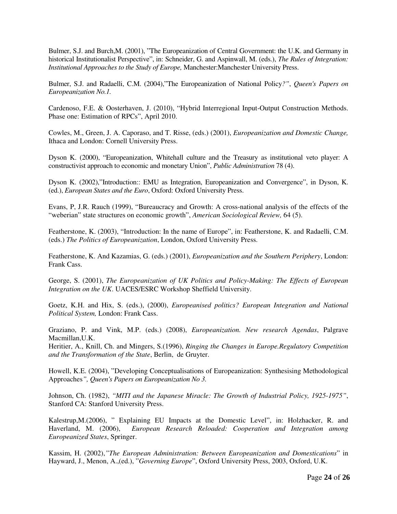Bulmer, S.J. and Burch,M. (2001), "The Europeanization of Central Government: the U.K. and Germany in historical Institutionalist Perspective", in: Schneider, G. and Aspinwall, M. (eds.), *The Rules of Integration: Institutional Approaches to the Study of Europe,* Manchester:Manchester University Press.

Bulmer, S.J. and Radaelli, C.M. (2004),"The Europeanization of National Policy*?"*, *Queen's Papers on Europeanization No.1.*

Cardenoso, F.E. & Oosterhaven, J. (2010), "Hybrid Interregional Input-Output Construction Methods. Phase one: Estimation of RPCs", April 2010.

Cowles, M., Green, J. A. Caporaso, and T. Risse, (eds.) (2001), *Europeanization and Domestic Change,*  Ithaca and London: Cornell University Press.

Dyson K. (2000), "Europeanization, Whitehall culture and the Treasury as institutional veto player: A constructivist approach to economic and monetary Union", *Public Administration* 78 (4).

Dyson K. (2002),"Introduction:: EMU as Integration, Europeanization and Convergence", in Dyson, K. (ed.), *European States and the Euro*, Oxford: Oxford University Press.

Evans, P, J.R. Rauch (1999), "Bureaucracy and Growth: A cross-national analysis of the effects of the "weberian" state structures on economic growth", *American Sociological Review,* 64 (5).

Featherstone, K. (2003), "Introduction: In the name of Europe", in: Featherstone, K. and Radaelli, C.M. (eds.) *The Politics of Europeanization*, London, Oxford University Press.

Featherstone, K. And Kazamias, G. (eds.) (2001), *Europeanization and the Southern Periphery*, London: Frank Cass.

George, S. (2001), *The Europeanization of UK Politics and Policy-Making: The Effects of European Integration on the UK*. UACES/ESRC Workshop Sheffield University.

Goetz, K.H. and Hix, S. (eds.), (2000), *Europeanised politics? European Integration and National Political System,* London: Frank Cass.

Graziano, P. and Vink, M.P. (eds.) (2008), *Europeanization. New research Agendas*, Palgrave Macmillan,U.K.

Heritier, A., Knill, Ch. and Mingers, S.(1996), *Ringing the Changes in Europe.Regulatory Competition and the Transformation of the State*, Berlin, de Gruyter.

Howell, K.E. (2004), "Developing Conceptualisations of Europeanization: Synthesising Methodological Approaches*", Queen's Papers on Europeanization No 3.* 

Johnson, Ch. (1982), *"MITI and the Japanese Miracle: The Growth of Industrial Policy, 1925-1975"*, Stanford CA: Stanford University Press.

Kalestrup,M.(2006), " Explaining EU Impacts at the Domestic Level", in: Holzhacker, R. and Haverland, M. (2006), *European Research Reloaded: Cooperation and Integration among Europeanized States*, Springer.

Kassim, H. (2002),*"The European Administration: Between Europeanization and Domestications*" in Hayward, J., Menon, A.,(ed.), "*Governing Europe*", Oxford University Press, 2003, Oxford, U.K.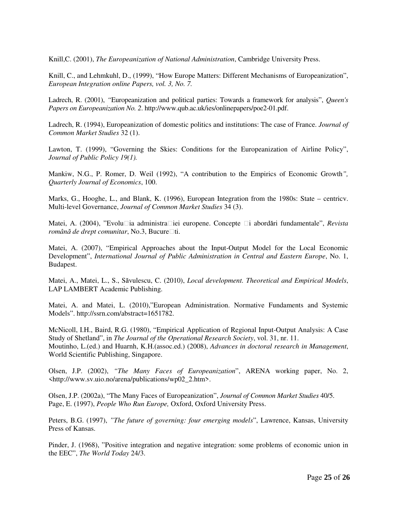Knill,C. (2001), *The Europeanization of National Administration*, Cambridge University Press.

Knill, C., and Lehmkuhl, D., (1999), "How Europe Matters: Different Mechanisms of Europeanization", *European Integration online Papers, vol. 3, No. 7.* 

Ladrech, R. (2001), *"*Europeanization and political parties: Towards a framework for analysis", *Queen's Papers on Europeanization No. 2*. http://www.qub.ac.uk/ies/onlinepapers/poe2-01.pdf.

Ladrech, R. (1994), Europeanization of domestic politics and institutions: The case of France. *Journal of Common Market Studies* 32 (1).

Lawton, T. (1999), "Governing the Skies: Conditions for the Europeanization of Airline Policy", *Journal of Public Policy 19(1).* 

Mankiw, N.G., P. Romer, D. Weil (1992), "A contribution to the Empirics of Economic Growth*", Quarterly Journal of Economics*, 100.

Marks, G., Hooghe, L., and Blank, K. (1996), European Integration from the 1980s: State – centricv. Multi-level Governance, *Journal of Common Market Studies* 34 (3).

Matei, A. (2004), "Evolu□ia administra□iei europene. Concepte □i abordări fundamentale", *Revista română de drept comunitar*, No.3, Bucure□ti.

Matei, A. (2007), "Empirical Approaches about the Input-Output Model for the Local Economic Development", *International Journal of Public Administration in Central and Eastern Europe*, No. 1, Budapest.

Matei, A., Matei, L., S., Săvulescu, C. (2010), *Local development. Theoretical and Empirical Models*, LAP LAMBERT Academic Publishing.

Matei, A. and Matei, L. (2010),"European Administration. Normative Fundaments and Systemic Models". http://ssrn.com/abstract=1651782.

McNicoll, I.H., Baird, R.G. (1980), "Empirical Application of Regional Input-Output Analysis: A Case Study of Shetland", in *The Journal of the Operational Research Society*, vol. 31, nr. 11. Moutinho, L.(ed.) and Huarnh, K.H.(assoc.ed.) (2008), *Advances in doctoral research in Management*, World Scientific Publishing, Singapore.

Olsen, J.P. (2002), *"The Many Faces of Europeanization*", ARENA working paper, No. 2, <http://www.sv.uio.no/arena/publications/wp02\_2.htm>.

Olsen, J.P. (2002a), "The Many Faces of Europeanization", *Journal of Common Market Studies* 40/5. Page, E. (1997), *People Who Run Europe,* Oxford, Oxford University Press.

Peters, B.G. (1997), *"The future of governing: four emerging models*", Lawrence, Kansas, University Press of Kansas.

Pinder, J. (1968), "Positive integration and negative integration: some problems of economic union in the EEC", *The World Today* 24/3.